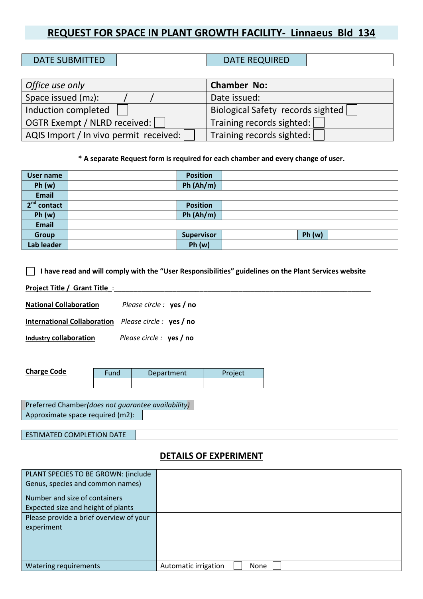# **REQUEST FOR SPACE IN PLANT GROWTH FACILITY- Linnaeus Bld 134**

| <b>DATE SUBMITTED</b> | <b>DATE REQUIRED</b> |  |
|-----------------------|----------------------|--|

| Office use only                        | <b>Chamber No:</b>                |
|----------------------------------------|-----------------------------------|
| Space issued (m2):                     | Date issued:                      |
| Induction completed                    | Biological Safety records sighted |
| OGTR Exempt / NLRD received:           | Training records sighted:         |
| AQIS Import / In vivo permit received: | Training records sighted:         |

**\* A separate Request form is required for each chamber and every change of user.**

| <b>User name</b> | <b>Position</b>   |       |
|------------------|-------------------|-------|
| Ph(w)            | Ph(Ah/m)          |       |
| <b>Email</b>     |                   |       |
| $2nd$ contact    | <b>Position</b>   |       |
| Ph(w)            | Ph(Ah/m)          |       |
| <b>Email</b>     |                   |       |
| Group            | <b>Supervisor</b> | Ph(w) |
| Lab leader       | Ph(w)             |       |

#### **I have read and will comply with the "User Responsibilities" guidelines on the Plant Services website**

Project Title / Grant Title :

**National Collaboration** *Please circle :* **yes / no** 

**International Collaboration** *Please circle :* **yes / no**

**Industry collaboration** *Please circle :* **yes / no**

| <b>Charge Code</b> | Fund | Department | Project |
|--------------------|------|------------|---------|
|                    |      |            |         |

| Preferred Chamber (does not quarantee availability) |  |  |  |
|-----------------------------------------------------|--|--|--|
| Approximate space required (m2):                    |  |  |  |
|                                                     |  |  |  |

ESTIMATED COMPLETION DATE

#### **DETAILS OF EXPERIMENT**

| PLANT SPECIES TO BE GROWN: (include     |                                     |
|-----------------------------------------|-------------------------------------|
| Genus, species and common names)        |                                     |
| Number and size of containers           |                                     |
| Expected size and height of plants      |                                     |
| Please provide a brief overview of your |                                     |
| experiment                              |                                     |
|                                         |                                     |
|                                         |                                     |
|                                         |                                     |
| Watering requirements                   | Automatic irrigation<br><b>None</b> |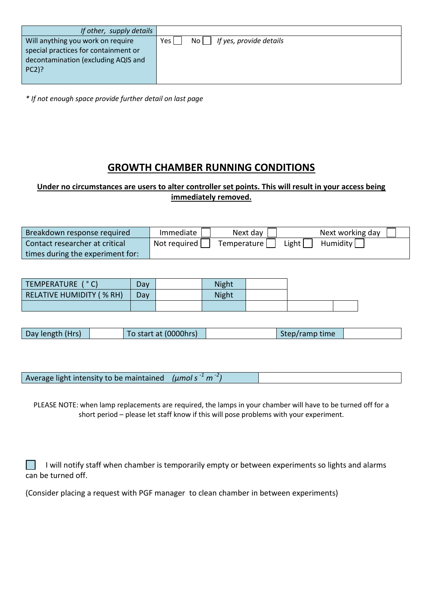| If other, supply details             |                                                     |
|--------------------------------------|-----------------------------------------------------|
| Will anything you work on require    | If yes, provide details<br>Yes I<br>No <sub>1</sub> |
| special practices for containment or |                                                     |
| decontamination (excluding AQIS and  |                                                     |
| $PC2$ ?                              |                                                     |
|                                      |                                                     |

*\* If not enough space provide further detail on last page*

# **GROWTH CHAMBER RUNNING CONDITIONS**

### **Under no circumstances are users to alter controller set points. This will result in your access being immediately removed.**

| Breakdown response required      | Immediate      | Next day    |       | Next working day |
|----------------------------------|----------------|-------------|-------|------------------|
| Contact researcher at critical   | " Not required | Temperature | Light | Humidity         |
| times during the experiment for: |                |             |       |                  |

| TEMPERATURE ( °C)                | Dav | <b>Night</b> |  |  |
|----------------------------------|-----|--------------|--|--|
| <b>RELATIVE HUMIDITY ( % RH)</b> | Day | <b>Night</b> |  |  |
|                                  |     |              |  |  |

| Day length (Hrs) | To start at (0000hrs) | Step/ramp time |  |
|------------------|-----------------------|----------------|--|
|------------------|-----------------------|----------------|--|

Average light intensity to be maintained *(μmol s -1 m -2 )*

PLEASE NOTE: when lamp replacements are required, the lamps in your chamber will have to be turned off for a short period – please let staff know if this will pose problems with your experiment.

 I will notify staff when chamber is temporarily empty or between experiments so lights and alarms can be turned off.

(Consider placing a request with PGF manager to clean chamber in between experiments)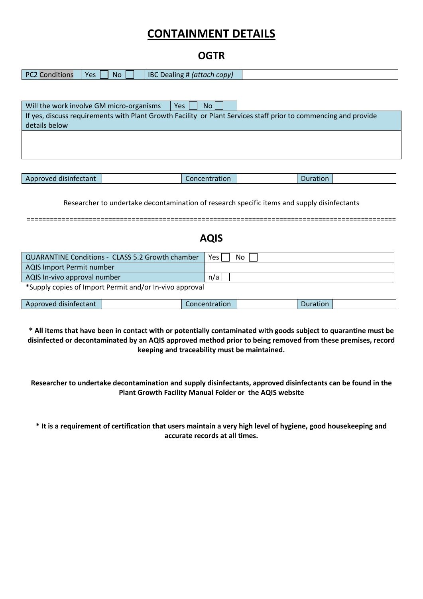# **CONTAINMENT DETAILS**

## **OGTR**

| PC <sub>2</sub><br>$\cdots$<br>חר.<br>conditions | <b>No</b><br><b>Yes</b> | IB <sub>C</sub><br>CODV <sup>'</sup><br>ہ د<br>dillie.<br>Tattach - |  |
|--------------------------------------------------|-------------------------|---------------------------------------------------------------------|--|
|                                                  |                         |                                                                     |  |

| Will the work involve GM micro-organisms<br>No l<br>Yes                                                         |
|-----------------------------------------------------------------------------------------------------------------|
| If yes, discuss requirements with Plant Growth Facility or Plant Services staff prior to commencing and provide |
| details below                                                                                                   |
|                                                                                                                 |
|                                                                                                                 |
|                                                                                                                 |

| i disinfectant.<br>Approved | Concentration | Juration |  |
|-----------------------------|---------------|----------|--|

Researcher to undertake decontamination of research specific items and supply disinfectants

===============================================================================================

## **AQIS**

| <b>QUARANTINE Conditions - CLASS 5.2 Growth chamber</b> | <b>Yes</b><br>No. |  |  |  |
|---------------------------------------------------------|-------------------|--|--|--|
| AQIS Import Permit number                               |                   |  |  |  |
| AQIS In-vivo approval number                            | n/a               |  |  |  |
| *Supply copies of Import Permit and/or In-vivo approval |                   |  |  |  |

| Approved disinfectant | Concentration | Juration |  |
|-----------------------|---------------|----------|--|
|                       |               |          |  |

**\* All items that have been in contact with or potentially contaminated with goods subject to quarantine must be disinfected or decontaminated by an AQIS approved method prior to being removed from these premises, record keeping and traceability must be maintained.**

**Researcher to undertake decontamination and supply disinfectants, approved disinfectants can be found in the Plant Growth Facility Manual Folder or the AQIS website**

**\* It is a requirement of certification that users maintain a very high level of hygiene, good housekeeping and accurate records at all times.**